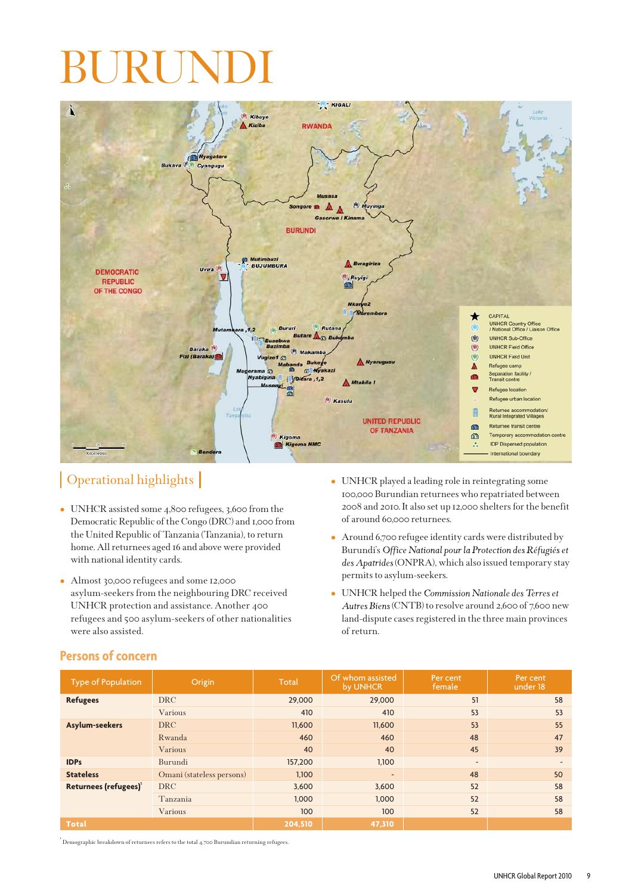

## Operational highlights

- UNHCR assisted some 4,800 refugees, 3,600 from the Democratic Republic of the Congo (DRC) and 1,000 from the United Republic of Tanzania (Tanzania), to return home. All returnees aged 16 and above were provided with national identity cards.
- Almost 30,000 refugees and some 12,000 asylum-seekers from the neighbouring DRC received UNHCR protection and assistance. Another 400 refugees and 500 asylum-seekers of other nationalities were also assisted.
- UNHCR played a leading role in reintegrating some 100,000 Burundian returnees who repatriated between 2008 and 2010. It also set up 12,000 shelters for the benefit of around 60,000 returnees.
- Around 6,700 refugee identity cards were distributed by Burundi's Office National pour la Protection des Réfugiés et des Apatrides (ONPRA), which also issued temporary stay permits to asylum-seekers.
- UNHCR helped the Autres Biens (CNTB) to resolve around 2,600 of 7,600 new land-dispute cases registered in the three main provinces of return.

| <b>Type of Population</b>         | Origin                    | Total   | Of whom assisted<br>by UNHCR | Per cent<br>female           | Per cent<br>under 18 |
|-----------------------------------|---------------------------|---------|------------------------------|------------------------------|----------------------|
| <b>Refugees</b>                   | <b>DRC</b>                | 29,000  | 29,000                       | 51                           | 58                   |
|                                   | Various                   | 410     | 410                          | 53                           | 53                   |
| Asylum-seekers                    | <b>DRC</b>                | 11,600  | 11,600                       | 53                           | 55                   |
|                                   | Rwanda                    | 460     | 460                          | 48                           | 47                   |
|                                   | Various                   | 40      | 40                           | 45                           | 39                   |
| <b>IDPs</b>                       | Burundi                   | 157,200 | 1,100                        | $\qquad \qquad \blacksquare$ | ٠                    |
| <b>Stateless</b>                  | Omani (stateless persons) | 1,100   | $\qquad \qquad$              | 48                           | 50                   |
| Returnees (refugees) <sup>1</sup> | <b>DRC</b>                | 3,600   | 3,600                        | 52                           | 58                   |
|                                   | Tanzania                  | 1,000   | 1,000                        | 52                           | 58                   |
|                                   | Various                   | 100     | 100                          | 52                           | 58                   |
| Total                             |                           | 204,510 | 47,310                       |                              |                      |
|                                   |                           |         |                              |                              |                      |

## **Persons of concern**

 $^{\rm T}$  Demographic breakdown of returnees refers to the total 4,700 Burundian returning refugees.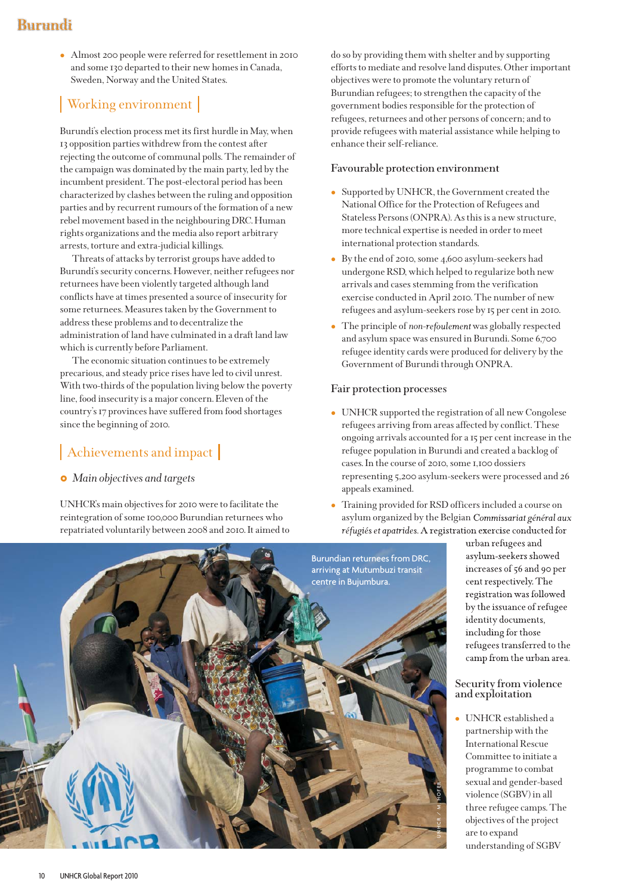- Almost 200 people were referred for resettlement in 2010 and some 130 departed to their new homes in Canada, Sweden, Norway and the United States.

# Working environment

Burundi's election process met its first hurdle in May, when 13 opposition parties withdrew from the contest after rejecting the outcome of communal polls. The remainder of the campaign was dominated by the main party, led by the incumbent president. The post-electoral period has been characterized by clashes between the ruling and opposition parties and by recurrent rumours of the formation of a new rebel movement based in the neighbouring DRC. Human rights organizations and the media also report arbitrary arrests, torture and extra-judicial killings.

Threats of attacks by terrorist groups have added to Burundi's security concerns. However, neither refugees nor returnees have been violently targeted although land conflicts have at times presented a source of insecurity for some returnees. Measures taken by the Government to address these problems and to decentralize the administration of land have culminated in a draft land law which is currently before Parliament.

The economic situation continues to be extremely precarious, and steady price rises have led to civil unrest. With two-thirds of the population living below the poverty line, food insecurity is a major concern. Eleven of the country's 17 provinces have suffered from food shortages since the beginning of 2010.

## Achievements and impact

## *Main objectives and targets*

UNHCR's main objectives for 2010 were to facilitate the reintegration of some 100,000 Burundian returnees who repatriated voluntarily between 2008 and 2010. It aimed to do so by providing them with shelter and by supporting efforts to mediate and resolve land disputes. Other important objectives were to promote the voluntary return of Burundian refugees; to strengthen the capacity of the government bodies responsible for the protection of refugees, returnees and other persons of concern; and to provide refugees with material assistance while helping to enhance their self-reliance.

### **Favourable protection environment**

- $\bullet$  Supported by UNHCR, the Government created the National Office for the Protection of Refugees and Stateless Persons (ONPRA). As this is a new structure, more technical expertise is needed in order to meet international protection standards.
- By the end of 2010, some 4,600 asylum-seekers had undergone RSD, which helped to regularize both new arrivals and cases stemming from the verification exercise conducted in April 2010. The number of new refugees and asylum-seekers rose by 15 per cent in 2010.
- The principle of *non-refoulement* was globally respected and asylum space was ensured in Burundi. Some 6,700 refugee identity cards were produced for delivery by the Government of Burundi through ONPRA.

#### **Fair protection processes**

- UNHCR supported the registration of all new Congolese refugees arriving from areas affected by conflict. These ongoing arrivals accounted for a 15 per cent increase in the refugee population in Burundi and created a backlog of cases. In the course of 2010, some 1,100 dossiers representing 5,200 asylum-seekers were processed and 26 appeals examined.
- Training provided for RSD officers included a course on asylum organized by the Belgian Commissariat général aux réfugiés et apatrides. A registration exercise conducted for



urban refugees and asylum-seekers showed increases of 56 and 90 per cent respectively. The registration was followed by the issuance of refugee identity documents, including for those refugees transferred to the camp from the urban area.

#### **Security from violence and exploitation**

- UNHCR established a partnership with the International Rescue Committee to initiate a programme to combat sexual and gender-based violence (SGBV) in all three refugee camps. The objectives of the project are to expand understanding of SGBV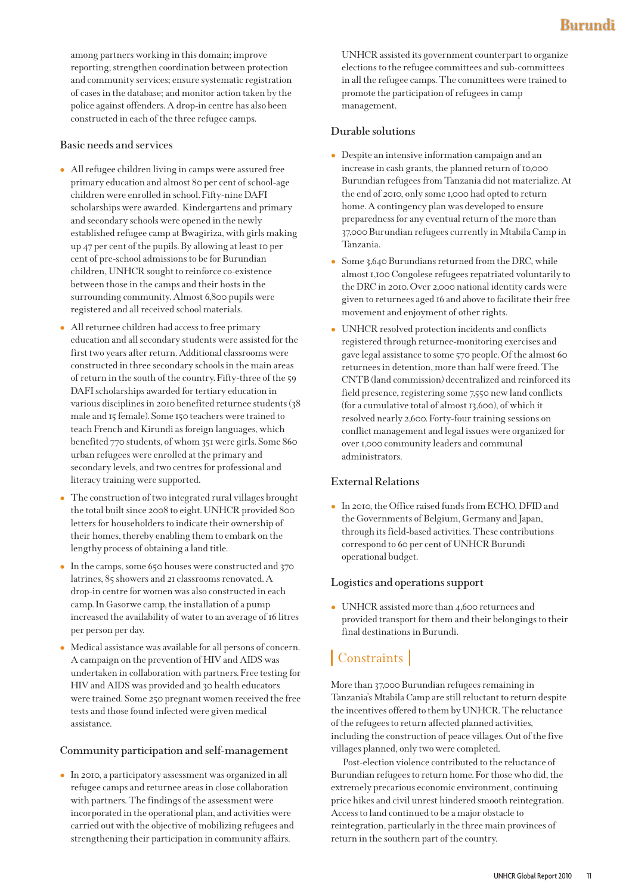among partners working in this domain; improve reporting; strengthen coordination between protection and community services; ensure systematic registration of cases in the database; and monitor action taken by the police against offenders. A drop-in centre has also been constructed in each of the three refugee camps.

#### **Basic needs and services**

- All refugee children living in camps were assured free primary education and almost 80 per cent of school-age children were enrolled in school. Fifty-nine DAFI scholarships were awarded. Kindergartens and primary and secondary schools were opened in the newly established refugee camp at Bwagiriza, with girls making up 47 per cent of the pupils. By allowing at least 10 per cent of pre-school admissions to be for Burundian children, UNHCR sought to reinforce co-existence between those in the camps and their hosts in the surrounding community. Almost 6,800 pupils were registered and all received school materials.
- All returnee children had access to free primary education and all secondary students were assisted for the first two years after return. Additional classrooms were constructed in three secondary schools in the main areas of return in the south of the country. Fifty-three of the 59 DAFI scholarships awarded for tertiary education in various disciplines in 2010 benefited returnee students (38 male and 15 female). Some 150 teachers were trained to teach French and Kirundi as foreign languages, which benefited 770 students, of whom 351 were girls. Some 860 urban refugees were enrolled at the primary and secondary levels, and two centres for professional and literacy training were supported.
- The construction of two integrated rural villages brought the total built since 2008 to eight. UNHCR provided 800 letters for householders to indicate their ownership of their homes, thereby enabling them to embark on the lengthy process of obtaining a land title.
- In the camps, some 650 houses were constructed and 370 latrines, 85 showers and 21 classrooms renovated. A drop-in centre for women was also constructed in each camp. In Gasorwe camp, the installation of a pump increased the availability of water to an average of 16 litres per person per day.
- Medical assistance was available for all persons of concern. A campaign on the prevention of HIV and AIDS was undertaken in collaboration with partners. Free testing for HIV and AIDS was provided and 30 health educators were trained. Some 250 pregnant women received the free tests and those found infected were given medical assistance.

## **Community participation and self-management**

- In 2010, a participatory assessment was organized in all refugee camps and returnee areas in close collaboration with partners. The findings of the assessment were incorporated in the operational plan, and activities were carried out with the objective of mobilizing refugees and strengthening their participation in community affairs.

UNHCR assisted its government counterpart to organize elections to the refugee committees and sub-committees in all the refugee camps. The committees were trained to promote the participation of refugees in camp management.

### **Durable solutions**

- Despite an intensive information campaign and an increase in cash grants, the planned return of 10,000 Burundian refugees from Tanzania did not materialize. At the end of 2010, only some 1,000 had opted to return home. A contingency plan was developed to ensure preparedness for any eventual return of the more than 37,000 Burundian refugees currently in Mtabila Camp in Tanzania.
- Some 3,640 Burundians returned from the DRC, while almost 1,100 Congolese refugees repatriated voluntarily to the DRC in 2010. Over 2,000 national identity cards were given to returnees aged 16 and above to facilitate their free movement and enjoyment of other rights.
- UNHCR resolved protection incidents and conflicts registered through returnee-monitoring exercises and gave legal assistance to some 570 people. Of the almost 60 returnees in detention, more than half were freed. The CNTB (land commission) decentralized and reinforced its field presence, registering some 7,550 new land conflicts (for a cumulative total of almost 13,600), of which it resolved nearly 2,600. Forty-four training sessions on conflict management and legal issues were organized for over 1,000 community leaders and communal administrators.

#### **External Relations**

- In 2010, the Office raised funds from ECHO, DFID and the Governments of Belgium, Germany and Japan, through its field-based activities. These contributions correspond to 60 per cent of UNHCR Burundi operational budget.

#### **Logistics and operations support**

- UNHCR assisted more than 4,600 returnees and provided transport for them and their belongings to their final destinations in Burundi.

# | Constraints |

More than 37,000 Burundian refugees remaining in Tanzania's Mtabila Camp are still reluctant to return despite the incentives offered to them by UNHCR. The reluctance of the refugees to return affected planned activities, including the construction of peace villages. Out of the five villages planned, only two were completed.

Post-election violence contributed to the reluctance of Burundian refugees to return home. For those who did, the extremely precarious economic environment, continuing price hikes and civil unrest hindered smooth reintegration. Access to land continued to be a major obstacle to reintegration, particularly in the three main provinces of return in the southern part of the country.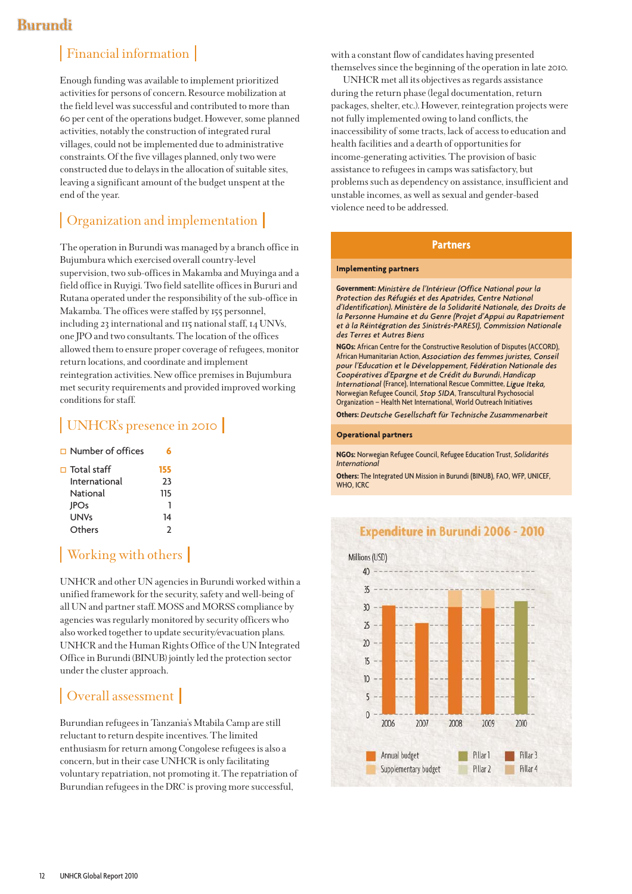# Financial information

Enough funding was available to implement prioritized activities for persons of concern. Resource mobilization at the field level was successful and contributed to more than 60 per cent of the operations budget. However, some planned activities, notably the construction of integrated rural villages, could not be implemented due to administrative constraints. Of the five villages planned, only two were constructed due to delays in the allocation of suitable sites, leaving a significant amount of the budget unspent at the end of the year.

## Organization and implementation

The operation in Burundi was managed by a branch office in Bujumbura which exercised overall country-level supervision, two sub-offices in Makamba and Muyinga and a field office in Ruyigi. Two field satellite offices in Bururi and Rutana operated under the responsibility of the sub-office in Makamba. The offices were staffed by 155 personnel, including 23 international and 115 national staff, 14 UNVs, one JPO and two consultants. The location of the offices allowed them to ensure proper coverage of refugees, monitor return locations, and coordinate and implement reintegration activities. New office premises in Bujumbura met security requirements and provided improved working conditions for staff.

## UNHCR's presence in 2010

Number of offices **6**

| $\Box$ Total staff | 155 |
|--------------------|-----|
| International      | ን3  |
| National           | 115 |
| <b>JPOs</b>        |     |
| <b>UNVs</b>        | 14  |
| Others             |     |
|                    |     |

# | Working with others |

UNHCR and other UN agencies in Burundi worked within a unified framework for the security, safety and well-being of all UN and partner staff. MOSS and MORSS compliance by agencies was regularly monitored by security officers who also worked together to update security/evacuation plans. UNHCR and the Human Rights Office of the UN Integrated Office in Burundi (BINUB) jointly led the protection sector under the cluster approach.

## Overall assessment

Burundian refugees in Tanzania's Mtabila Camp are still reluctant to return despite incentives. The limited enthusiasm for return among Congolese refugees is also a concern, but in their case UNHCR is only facilitating voluntary repatriation, not promoting it. The repatriation of Burundian refugees in the DRC is proving more successful,

with a constant flow of candidates having presented themselves since the beginning of the operation in late 2010.

UNHCR met all its objectives as regards assistance during the return phase (legal documentation, return packages, shelter, etc.). However, reintegration projects were not fully implemented owing to land conflicts, the inaccessibility of some tracts, lack of access to education and health facilities and a dearth of opportunities for income-generating activities. The provision of basic assistance to refugees in camps was satisfactory, but problems such as dependency on assistance, insufficient and unstable incomes, as well as sexual and gender-based violence need to be addressed.

## **Partners**

#### **Implementing partners**

**Government:** Ministère de l'Intérieur (Office National pour la<br>Protection des Réfugiés et des Apatrides, Centre National d'Identification), Ministère de la Solidarité Nationale, des Droits de , la Personne Humaine et du Genre (Projet d'Appui au Rapatriement et à la Réintégration des Sinistrés-PARESI), Commission Nationale des Terres et Autres Biens

**NGOs:** African Centre for the Constructive Resolution of Disputes (ACCORD), African Humanitarian Action, Association des femmes juristes, Conseil<br>pour l'Education et le Développement, Fédération Nationale des Coopératives d'Epargne et de Crédit du Burundi, Handicap , International (France), International Rescue Committee, Ligue Iteka, Norwegian Refugee Council, Stop SIDA, Transcultural Psychosocial Organization – Health Net International, World Outreach Initiatives

**Others:** Deutsche Gesellschaft für Technische Zusammenarbeit

#### **Operational partners**

**NGOs:** Norwegian Refugee Council, Refugee Education Trust, *Solidarités International*

**Others:** The Integrated UN Mission in Burundi (BINUB), FAO, WFP, UNICEF, WHO, ICRC



## **Expenditure in Burundi 2006 - 2010**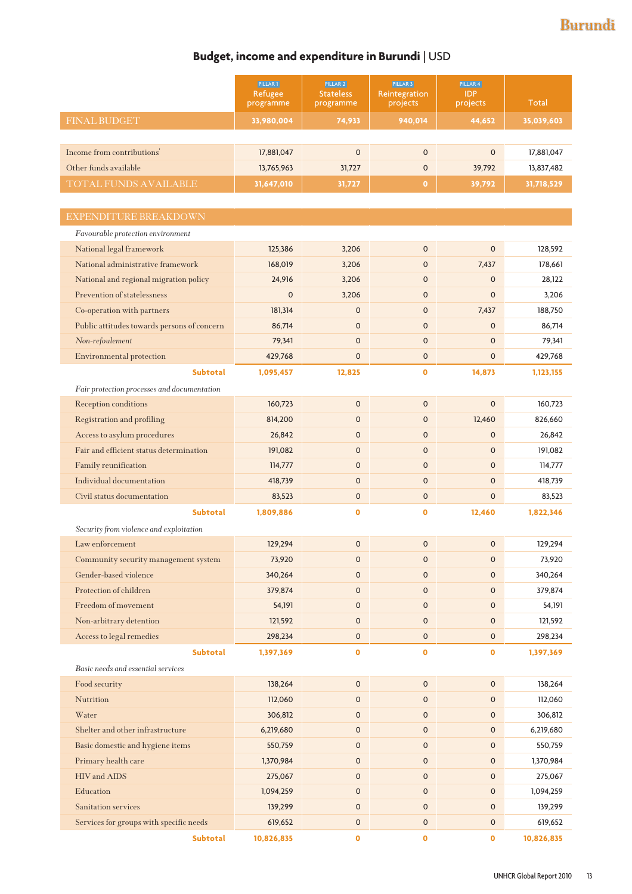## **Budget, income and expenditure in Burundi** | USD

|                                             | PILLAR 1<br>Refugee<br>programme | PILLAR <sub>2</sub><br><b>Stateless</b><br>programme | PILLAR 3<br>Reintegration<br>projects | PILLAR 4<br><b>IDP</b><br>projects | Total      |  |
|---------------------------------------------|----------------------------------|------------------------------------------------------|---------------------------------------|------------------------------------|------------|--|
| <b>FINAL BUDGET</b>                         | 33,980,004                       | 74,933                                               | 940,014                               | 44,652                             | 35,039,603 |  |
|                                             |                                  |                                                      |                                       |                                    |            |  |
| Income from contributions'                  | 17,881,047                       | $\mathsf 0$                                          | $\mathbf 0$                           | $\mathbf 0$                        | 17,881,047 |  |
| Other funds available                       | 13,765,963                       | 31,727                                               | $\mathbf 0$                           | 39,792                             | 13,837,482 |  |
| TOTAL FUNDS AVAILABLE                       | 31,647,010                       | 31,727                                               | $\bullet$                             | 39,792                             | 31,718,529 |  |
|                                             |                                  |                                                      |                                       |                                    |            |  |
| EXPENDITURE BREAKDOWN                       |                                  |                                                      |                                       |                                    |            |  |
| Favourable protection environment           |                                  |                                                      |                                       |                                    |            |  |
| National legal framework                    | 125,386                          | 3,206                                                | $\mathbf{O}$                          | $\mathbf 0$                        | 128,592    |  |
| National administrative framework           | 168,019                          | 3,206                                                | $\mathbf{0}$                          | 7,437                              | 178,661    |  |
| National and regional migration policy      | 24,916                           | 3,206                                                | $\mathbf{0}$                          | $\mathbf 0$                        | 28,122     |  |
| Prevention of statelessness                 | $\mathbf 0$                      | 3,206                                                | $\mathbf{O}$                          | $\mathbf 0$                        | 3,206      |  |
| Co-operation with partners                  | 181,314                          | $\mathsf{o}$                                         | $\mathbf{O}$                          | 7,437                              | 188,750    |  |
| Public attitudes towards persons of concern | 86,714                           | $\mathbf 0$                                          | $\overline{0}$                        | $\Omega$                           | 86,714     |  |
| Non-refoulement                             | 79,341                           | $\mathbf 0$                                          | $\overline{0}$                        | $\mathbf 0$                        | 79,341     |  |
| Environmental protection                    | 429,768                          | $\mathbf{O}$                                         | 0                                     | $\mathbf 0$                        | 429,768    |  |
| <b>Subtotal</b>                             | 1,095,457                        | 12,825                                               | $\bullet$                             | 14,873                             | 1,123,155  |  |
| Fair protection processes and documentation |                                  |                                                      |                                       |                                    |            |  |
| Reception conditions                        | 160,723                          | $\mathbf 0$                                          | $\mathbf{0}$                          | $\mathbf 0$                        | 160,723    |  |
| Registration and profiling                  | 814,200                          | 0                                                    | $\mathbf 0$                           | 12,460                             | 826,660    |  |
| Access to asylum procedures                 | 26,842                           | $\mathsf{O}$                                         | $\mathbf{O}$                          | $\mathbf 0$                        | 26,842     |  |
| Fair and efficient status determination     | 191,082                          | $\mathsf{O}$                                         | $\overline{0}$                        | $\mathbf{O}$                       | 191,082    |  |
| Family reunification                        | 114,777                          | $\mathsf{O}$                                         | $\overline{0}$                        | $\mathbf{O}$                       | 114,777    |  |
| Individual documentation                    | 418,739                          | $\mathbf 0$                                          | $\mathbf{0}$                          | $\mathbf{O}$                       | 418,739    |  |
| Civil status documentation                  | 83,523                           | $\mathsf{O}$                                         | 0                                     | $\mathbf 0$                        | 83,523     |  |
| <b>Subtotal</b>                             | 1,809,886                        | $\mathbf{o}$                                         | $\bullet$                             | 12,460                             | 1,822,346  |  |
| Security from violence and exploitation     |                                  |                                                      |                                       |                                    |            |  |
| Law enforcement                             | 129,294                          | $\mathsf 0$                                          | $\mathbf 0$                           | $\mathsf{O}\xspace$                | 129,294    |  |
| Community security management system        | 73,920                           | 0                                                    | $\mathsf{O}\xspace$                   | $\mathsf{O}\xspace$                | 73,920     |  |
| Gender-based violence                       | 340,264                          | $\mathsf{O}$                                         | $\mathsf{O}$                          | $\mathsf{O}\xspace$                | 340,264    |  |
| Protection of children                      | 379,874                          | 0                                                    | 0                                     | $\mathsf{O}\xspace$                | 379,874    |  |
| Freedom of movement                         | 54,191                           | $\mathsf{o}$                                         | $\mathbf 0$                           | $\mathbf 0$                        | 54,191     |  |
| Non-arbitrary detention                     | 121,592                          | $\mathsf{O}$                                         | $\mathbf 0$                           | $\mathsf{O}\xspace$                | 121,592    |  |
| Access to legal remedies                    | 298,234                          | $\mathsf{o}$                                         | $\mathsf{o}$                          | $\mathsf{O}$                       | 298,234    |  |
| <b>Subtotal</b>                             | 1,397,369                        | $\bullet$                                            | 0                                     | 0                                  | 1,397,369  |  |
| Basic needs and essential services          |                                  |                                                      |                                       |                                    |            |  |
| Food security                               | 138,264                          | $\mathsf 0$                                          | $\mathsf{O}\xspace$                   | $\mathsf{O}\xspace$                | 138,264    |  |
| Nutrition                                   | 112,060                          | $\mathsf{o}$                                         | $\mathsf{o}$                          | $\mathsf{o}$                       | 112,060    |  |
| Water                                       | 306,812                          | $\mathsf{o}$                                         | $\mathsf{o}$                          | $\mathsf{o}$                       | 306,812    |  |
| Shelter and other infrastructure            | 6,219,680                        | $\mathsf{O}$                                         | 0                                     | $\mathsf{O}\xspace$                | 6,219,680  |  |
| Basic domestic and hygiene items            | 550,759                          | $\mathsf{o}$                                         | $\mathsf{o}$                          | $\mathbf 0$                        | 550,759    |  |
| Primary health care                         | 1,370,984                        | $\mathsf{O}$                                         | 0                                     | $\mathsf{O}\xspace$                | 1,370,984  |  |
| HIV and AIDS                                | 275,067                          | $\mathsf{o}$                                         | $\mathsf{o}$                          | $\mathsf{O}$                       | 275,067    |  |
| Education                                   | 1,094,259                        | $\mathsf{o}$                                         | $\mathsf{O}\xspace$                   | $\mathsf{o}$                       | 1,094,259  |  |
| Sanitation services                         | 139,299                          | 0                                                    | 0                                     | $\pmb{0}$                          | 139,299    |  |
| Services for groups with specific needs     | 619,652                          | 0                                                    | $\mathsf{O}\xspace$                   | $\mathsf{O}$                       | 619,652    |  |
| Subtotal                                    | 10,826,835                       | $\mathbf 0$                                          | $\mathbf 0$                           | $\bullet$                          | 10,826,835 |  |